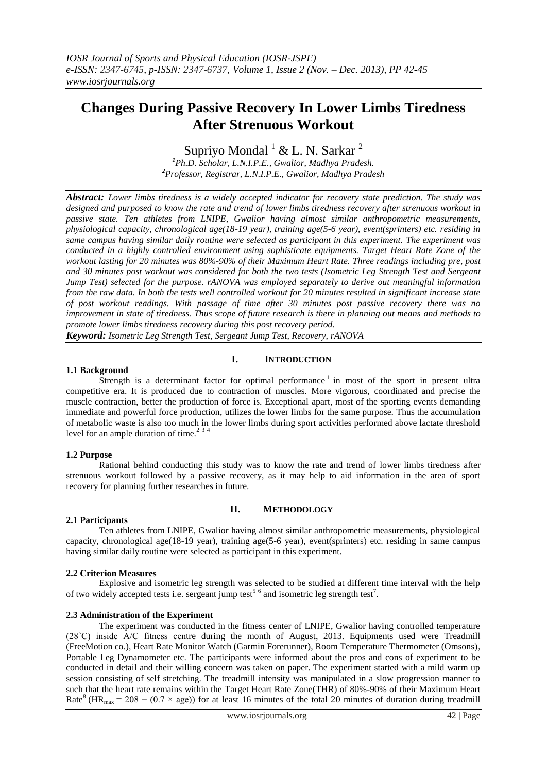# **Changes During Passive Recovery In Lower Limbs Tiredness After Strenuous Workout**

## Supriyo Mondal  $1 \& L. N.$  Sarkar  $2$

*<sup>1</sup>Ph.D. Scholar, L.N.I.P.E., Gwalior, Madhya Pradesh. <sup>2</sup>Professor, Registrar, L.N.I.P.E., Gwalior, Madhya Pradesh*

*Abstract: Lower limbs tiredness is a widely accepted indicator for recovery state prediction. The study was designed and purposed to know the rate and trend of lower limbs tiredness recovery after strenuous workout in passive state. Ten athletes from LNIPE, Gwalior having almost similar anthropometric measurements, physiological capacity, chronological age(18-19 year), training age(5-6 year), event(sprinters) etc. residing in same campus having similar daily routine were selected as participant in this experiment. The experiment was conducted in a highly controlled environment using sophisticate equipments. Target Heart Rate Zone of the workout lasting for 20 minutes was 80%-90% of their Maximum Heart Rate. Three readings including pre, post and 30 minutes post workout was considered for both the two tests (Isometric Leg Strength Test and Sergeant Jump Test) selected for the purpose. rANOVA was employed separately to derive out meaningful information from the raw data. In both the tests well controlled workout for 20 minutes resulted in significant increase state of post workout readings. With passage of time after 30 minutes post passive recovery there was no improvement in state of tiredness. Thus scope of future research is there in planning out means and methods to promote lower limbs tiredness recovery during this post recovery period.*

*Keyword: Isometric Leg Strength Test, Sergeant Jump Test, Recovery, rANOVA*

## **I. INTRODUCTION**

## **1.1 Background**

Strength is a determinant factor for optimal performance<sup>1</sup> in most of the sport in present ultra competitive era. It is produced due to contraction of muscles. More vigorous, coordinated and precise the muscle contraction, better the production of force is. Exceptional apart, most of the sporting events demanding immediate and powerful force production, utilizes the lower limbs for the same purpose. Thus the accumulation of metabolic waste is also too much in the lower limbs during sport activities performed above lactate threshold level for an ample duration of time. $2^{3/4}$ 

## **1.2 Purpose**

Rational behind conducting this study was to know the rate and trend of lower limbs tiredness after strenuous workout followed by a passive recovery, as it may help to aid information in the area of sport recovery for planning further researches in future.

## **II. METHODOLOGY**

## **2.1 Participants**

Ten athletes from LNIPE, Gwalior having almost similar anthropometric measurements, physiological capacity, chronological age(18-19 year), training age(5-6 year), event(sprinters) etc. residing in same campus having similar daily routine were selected as participant in this experiment.

#### **2.2 Criterion Measures**

Explosive and isometric leg strength was selected to be studied at different time interval with the help of two widely accepted tests i.e. sergeant jump test<sup>5 6</sup> and isometric leg strength test<sup>7</sup>.

#### **2.3 Administration of the Experiment**

The experiment was conducted in the fitness center of LNIPE, Gwalior having controlled temperature (28˚C) inside A/C fitness centre during the month of August, 2013. Equipments used were Treadmill (FreeMotion co.), Heart Rate Monitor Watch (Garmin Forerunner), Room Temperature Thermometer (Omsons), Portable Leg Dynamometer etc. The participants were informed about the pros and cons of experiment to be conducted in detail and their willing concern was taken on paper. The experiment started with a mild warm up session consisting of self stretching. The treadmill intensity was manipulated in a slow progression manner to such that the heart rate remains within the Target Heart Rate Zone(THR) of 80%-90% of their Maximum Heart Rate<sup>8</sup> (HR<sub>max</sub> = 208 – (0.7 × age)) for at least 16 minutes of the total 20 minutes of duration during treadmill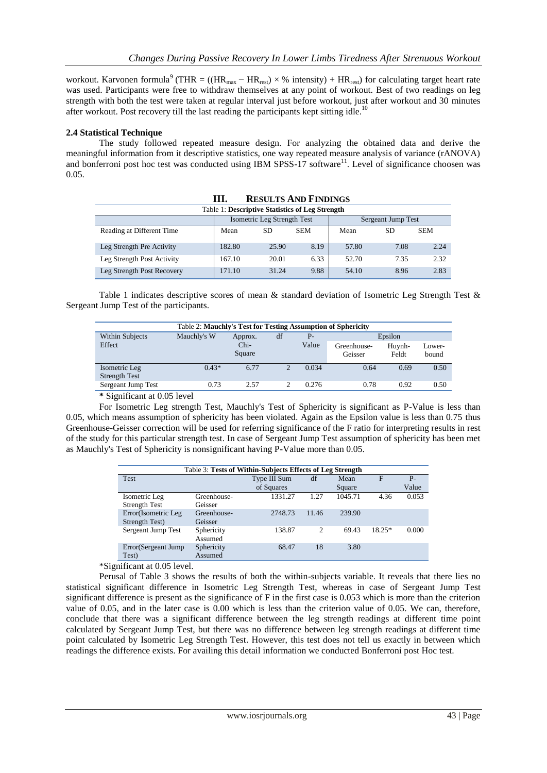workout. Karvonen formula<sup>9</sup> (THR = ((HR<sub>max</sub> – HR<sub>rest</sub>) × % intensity) + HR<sub>rest</sub>) for calculating target heart rate was used. Participants were free to withdraw themselves at any point of workout. Best of two readings on leg strength with both the test were taken at regular interval just before workout, just after workout and 30 minutes after workout. Post recovery till the last reading the participants kept sitting idle.<sup>10</sup>

## **2.4 Statistical Technique**

The study followed repeated measure design. For analyzing the obtained data and derive the meaningful information from it descriptive statistics, one way repeated measure analysis of variance (rANOVA) and bonferroni post hoc test was conducted using IBM SPSS-17 software<sup>11</sup>. Level of significance choosen was 0.05.

| Table 1: Descriptive Statistics of Leg Strength |                             |       |            |                    |      |            |  |  |  |
|-------------------------------------------------|-----------------------------|-------|------------|--------------------|------|------------|--|--|--|
|                                                 | Isometric Leg Strength Test |       |            | Sergeant Jump Test |      |            |  |  |  |
| Reading at Different Time                       | Mean                        | SD    | <b>SEM</b> | Mean               | SD   | <b>SEM</b> |  |  |  |
| Leg Strength Pre Activity                       | 182.80                      | 25.90 | 8.19       | 57.80              | 7.08 | 2.24       |  |  |  |
| Leg Strength Post Activity                      | 167.10                      | 20.01 | 6.33       | 52.70              | 7.35 | 2.32       |  |  |  |
| Leg Strength Post Recovery                      | 171.10                      | 31.24 | 9.88       | 54.10              | 8.96 | 2.83       |  |  |  |

| <b>RESULTS AND FINDINGS</b> |
|-----------------------------|
|                             |

Table 1 indicates descriptive scores of mean & standard deviation of Isometric Leg Strength Test & Sergeant Jump Test of the participants.

| <b>Table 2: Mauchly's Test for Testing Assumption of Sphericity</b> |                              |                  |   |       |                        |                 |                 |  |  |
|---------------------------------------------------------------------|------------------------------|------------------|---|-------|------------------------|-----------------|-----------------|--|--|
| Within Subjects                                                     | Mauchly's W<br>df<br>Approx. |                  |   | $P-$  | Epsilon                |                 |                 |  |  |
| Effect                                                              |                              | $Chi-$<br>Square |   | Value | Greenhouse-<br>Geisser | Huynh-<br>Feldt | Lower-<br>bound |  |  |
| Isometric Leg<br><b>Strength Test</b>                               | $0.43*$                      | 6.77             | 2 | 0.034 | 0.64                   | 0.69            | 0.50            |  |  |
| Sergeant Jump Test                                                  | 0.73                         | 2.57             |   | 0.276 | 0.78                   | 0.92            | 0.50            |  |  |
|                                                                     |                              |                  |   |       |                        |                 |                 |  |  |

**\*** Significant at 0.05 level

For Isometric Leg strength Test, Mauchly's Test of Sphericity is significant as P-Value is less than 0.05, which means assumption of sphericity has been violated. Again as the Epsilon value is less than 0.75 thus Greenhouse-Geisser correction will be used for referring significance of the F ratio for interpreting results in rest of the study for this particular strength test. In case of Sergeant Jump Test assumption of sphericity has been met as Mauchly's Test of Sphericity is nonsignificant having P-Value more than 0.05.

| Table 3: Tests of Within-Subjects Effects of Leg Strength |                       |              |                |         |          |       |  |  |
|-----------------------------------------------------------|-----------------------|--------------|----------------|---------|----------|-------|--|--|
| Test                                                      |                       | Type III Sum | df             | Mean    | F        | $P -$ |  |  |
|                                                           |                       | of Squares   |                | Square  |          | Value |  |  |
| Isometric Leg                                             | Greenhouse-           | 1331.27      | 1.27           | 1045.71 | 4.36     | 0.053 |  |  |
| <b>Strength Test</b>                                      | Geisser               |              |                |         |          |       |  |  |
| Error(Isometric Leg                                       | Greenhouse-           | 2748.73      | 11.46          | 239.90  |          |       |  |  |
| Strength Test)                                            | Geisser               |              |                |         |          |       |  |  |
| Sergeant Jump Test                                        | Sphericity<br>Assumed | 138.87       | $\overline{c}$ | 69.43   | $18.25*$ | 0.000 |  |  |
| Error (Sergeant Jump)<br>Test)                            | Sphericity<br>Assumed | 68.47        | 18             | 3.80    |          |       |  |  |

\*Significant at 0.05 level.

Perusal of Table 3 shows the results of both the within-subjects variable. It reveals that there lies no statistical significant difference in Isometric Leg Strength Test, whereas in case of Sergeant Jump Test significant difference is present as the significance of F in the first case is 0.053 which is more than the criterion value of 0.05, and in the later case is 0.00 which is less than the criterion value of 0.05. We can, therefore, conclude that there was a significant difference between the leg strength readings at different time point calculated by Sergeant Jump Test, but there was no difference between leg strength readings at different time point calculated by Isometric Leg Strength Test. However, this test does not tell us exactly in between which readings the difference exists. For availing this detail information we conducted Bonferroni post Hoc test.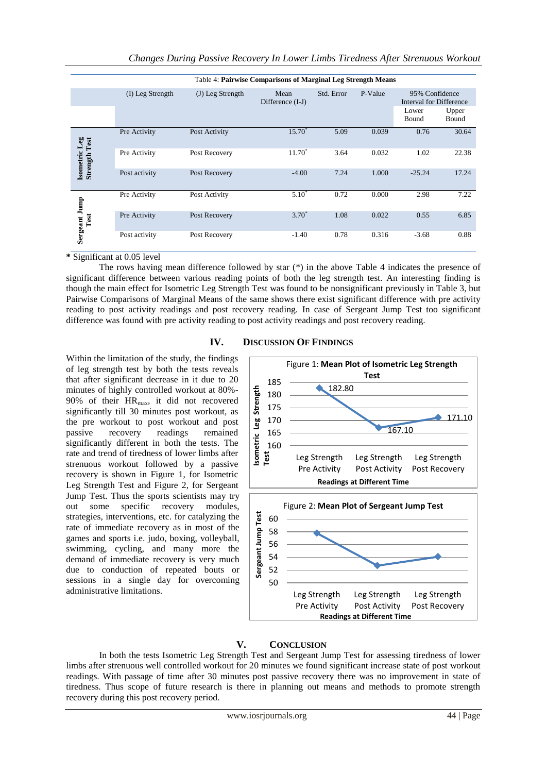|                                              | Table 4: Pairwise Comparisons of Marginal Leg Strength Means |                  |                          |            |         |                                                             |                |  |  |
|----------------------------------------------|--------------------------------------------------------------|------------------|--------------------------|------------|---------|-------------------------------------------------------------|----------------|--|--|
|                                              | (I) Leg Strength                                             | (J) Leg Strength | Mean<br>Difference (I-J) | Std. Error | P-Value | 95% Confidence<br>Interval for Difference<br>Lower<br>Bound | Upper<br>Bound |  |  |
|                                              | Pre Activity                                                 | Post Activity    | $15.70*$                 | 5.09       | 0.039   | 0.76                                                        | 30.64          |  |  |
| <b>Isometric Leg</b><br><b>Strength Test</b> | Pre Activity                                                 | Post Recovery    | $11.70*$                 | 3.64       | 0.032   | 1.02                                                        | 22.38          |  |  |
|                                              | Post activity                                                | Post Recovery    | $-4.00$                  | 7.24       | 1.000   | $-25.24$                                                    | 17.24          |  |  |
|                                              | Pre Activity                                                 | Post Activity    | $5.10^{\degree}$         | 0.72       | 0.000   | 2.98                                                        | 7.22           |  |  |
| Sergeant Jump<br>Test                        | Pre Activity                                                 | Post Recovery    | $3.70^*$                 | 1.08       | 0.022   | 0.55                                                        | 6.85           |  |  |
|                                              | Post activity                                                | Post Recovery    | $-1.40$                  | 0.78       | 0.316   | $-3.68$                                                     | 0.88           |  |  |

**\*** Significant at 0.05 level

The rows having mean difference followed by star (\*) in the above Table 4 indicates the presence of significant difference between various reading points of both the leg strength test. An interesting finding is though the main effect for Isometric Leg Strength Test was found to be nonsignificant previously in Table 3, but Pairwise Comparisons of Marginal Means of the same shows there exist significant difference with pre activity reading to post activity readings and post recovery reading. In case of Sergeant Jump Test too significant difference was found with pre activity reading to post activity readings and post recovery reading.

## **IV. DISCUSSION OF FINDINGS**

Within the limitation of the study, the findings of leg strength test by both the tests reveals that after significant decrease in it due to 20 minutes of highly controlled workout at 80%- 90% of their HRmax, it did not recovered significantly till 30 minutes post workout, as the pre workout to post workout and post passive recovery readings remained significantly different in both the tests. The rate and trend of tiredness of lower limbs after strenuous workout followed by a passive recovery is shown in Figure 1, for Isometric Leg Strength Test and Figure 2, for Sergeant Jump Test. Thus the sports scientists may try out some specific recovery modules, strategies, interventions, etc. for catalyzing the rate of immediate recovery as in most of the games and sports i.e. judo, boxing, volleyball, swimming, cycling, and many more the demand of immediate recovery is very much due to conduction of repeated bouts or sessions in a single day for overcoming administrative limitations.



## **V. CONCLUSION**

In both the tests Isometric Leg Strength Test and Sergeant Jump Test for assessing tiredness of lower limbs after strenuous well controlled workout for 20 minutes we found significant increase state of post workout readings. With passage of time after 30 minutes post passive recovery there was no improvement in state of tiredness. Thus scope of future research is there in planning out means and methods to promote strength recovery during this post recovery period.